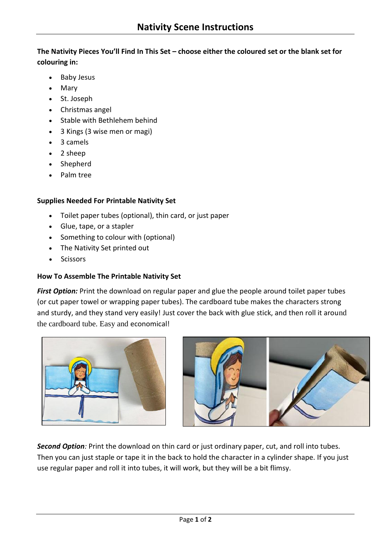**The Nativity Pieces You'll Find In This Set – choose either the coloured set or the blank set for colouring in:**

- Baby Jesus
- Mary
- St. Joseph
- Christmas angel
- Stable with Bethlehem behind
- 3 Kings (3 wise men or magi)
- 3 camels
- 2 sheep
- Shepherd
- Palm tree

## **Supplies Needed For Printable Nativity Set**

- Toilet paper tubes (optional), thin card, or just paper
- Glue, tape, or a stapler
- Something to colour with (optional)
- The Nativity Set printed out
- Scissors

## **How To Assemble The Printable Nativity Set**

*First Option:* Print the download on regular paper and glue the people around toilet paper tubes (or cut paper towel or wrapping paper tubes). The cardboard tube makes the characters strong and sturdy, and they stand very easily! Just cover the back with glue stick, and then roll it around the cardboard tube. Easy and economical!





*Second Option:* Print the download on thin card or just ordinary paper, cut, and roll into tubes. Then you can just staple or tape it in the back to hold the character in a cylinder shape. If you just use regular paper and roll it into tubes, it will work, but they will be a bit flimsy.